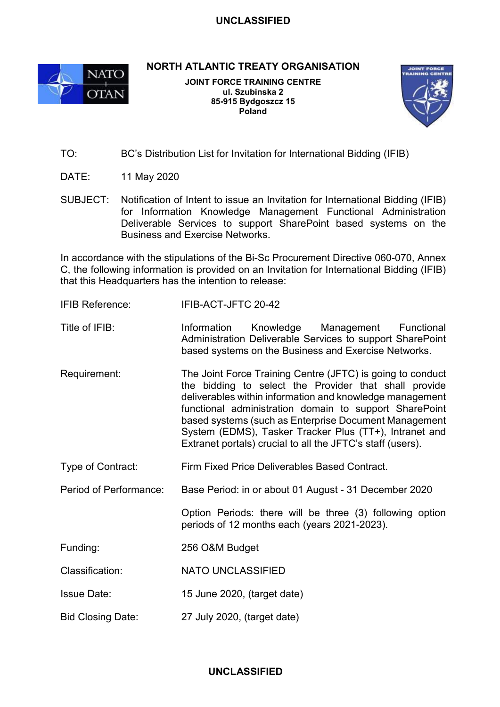## **UNCLASSIFIED**



**NORTH ATLANTIC TREATY ORGANISATION**

**JOINT FORCE TRAINING CENTRE ul. Szubinska 2 85-915 Bydgoszcz 15 Poland**



- TO: BC's Distribution List for Invitation for International Bidding (IFIB)
- DATE: 11 May 2020
- SUBJECT: Notification of Intent to issue an Invitation for International Bidding (IFIB) for Information Knowledge Management Functional Administration Deliverable Services to support SharePoint based systems on the Business and Exercise Networks.

In accordance with the stipulations of the Bi-Sc Procurement Directive 060-070, Annex C, the following information is provided on an Invitation for International Bidding (IFIB) that this Headquarters has the intention to release:

- IFIB Reference: IFIB-ACT-JFTC 20-42
- Title of IFIB: Information Knowledge Management Functional Administration Deliverable Services to support SharePoint based systems on the Business and Exercise Networks.
- Requirement: The Joint Force Training Centre (JFTC) is going to conduct the bidding to select the Provider that shall provide deliverables within information and knowledge management functional administration domain to support SharePoint based systems (such as Enterprise Document Management System (EDMS), Tasker Tracker Plus (TT+), Intranet and Extranet portals) crucial to all the JFTC's staff (users).
- Type of Contract: Firm Fixed Price Deliverables Based Contract.
- Period of Performance: Base Period: in or about 01 August 31 December 2020

Option Periods: there will be three (3) following option periods of 12 months each (years 2021-2023).

- Funding: 256 O&M Budget
- Classification: NATO UNCLASSIFIED
- Issue Date: 15 June 2020, (target date)
- Bid Closing Date: 27 July 2020, (target date)

## **UNCLASSIFIED**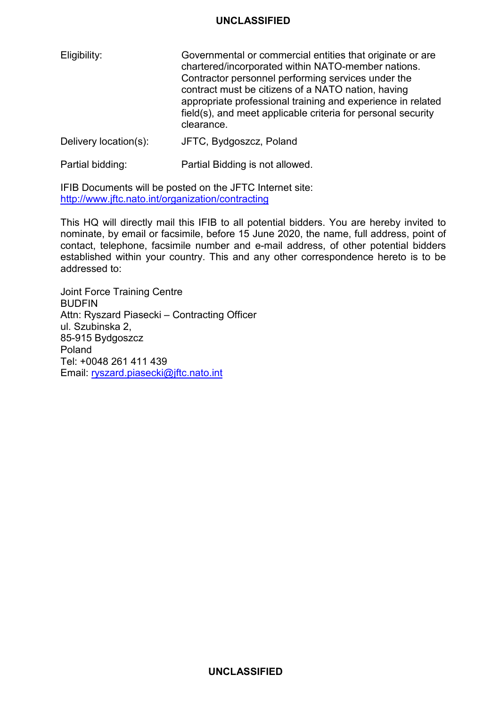## **UNCLASSIFIED**

| Eligibility:          | Governmental or commercial entities that originate or are<br>chartered/incorporated within NATO-member nations.<br>Contractor personnel performing services under the<br>contract must be citizens of a NATO nation, having<br>appropriate professional training and experience in related<br>field(s), and meet applicable criteria for personal security<br>clearance. |
|-----------------------|--------------------------------------------------------------------------------------------------------------------------------------------------------------------------------------------------------------------------------------------------------------------------------------------------------------------------------------------------------------------------|
| Delivery location(s): | JFTC, Bydgoszcz, Poland                                                                                                                                                                                                                                                                                                                                                  |

Partial bidding: Partial Bidding is not allowed.

IFIB Documents will be posted on the JFTC Internet site: <http://www.jftc.nato.int/organization/contracting>

This HQ will directly mail this IFIB to all potential bidders. You are hereby invited to nominate, by email or facsimile, before 15 June 2020, the name, full address, point of contact, telephone, facsimile number and e-mail address, of other potential bidders established within your country. This and any other correspondence hereto is to be addressed to:

Joint Force Training Centre BUDFIN Attn: Ryszard Piasecki – Contracting Officer ul. Szubinska 2, 85-915 Bydgoszcz Poland Tel: +0048 261 411 439 Email: [ryszard.piasecki@jftc.nato.int](mailto:ryszard.piasecki@jftc.nato.int)